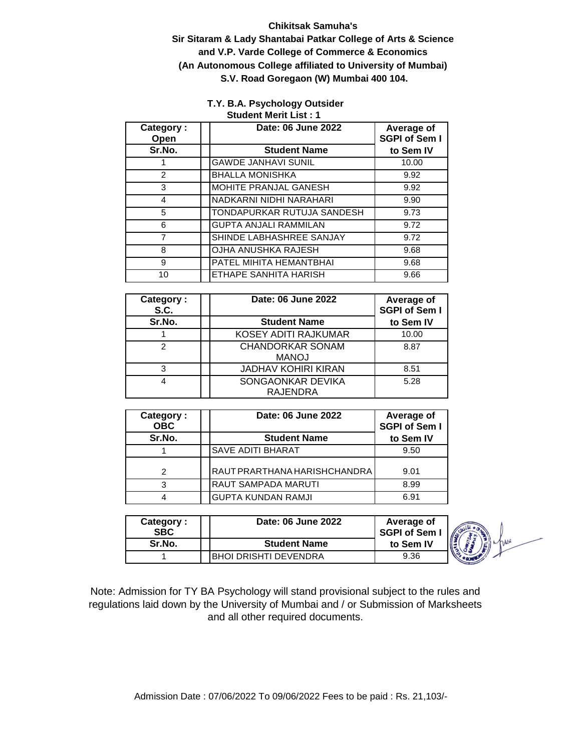#### **Chikitsak Samuha's**

**Sir Sitaram & Lady Shantabai Patkar College of Arts & Science and V.P. Varde College of Commerce & Economics (An Autonomous College affiliated to University of Mumbai) S.V. Road Goregaon (W) Mumbai 400 104.** 

#### **T.Y. B.A. Psychology Outsider Student Merit List : 1**

| Category:<br>Open | Date: 06 June 2022           | Average of<br><b>SGPI of Sem I</b> |
|-------------------|------------------------------|------------------------------------|
| Sr.No.            | <b>Student Name</b>          | to Sem IV                          |
|                   | <b>GAWDE JANHAVI SUNIL</b>   | 10.00                              |
| 2                 | <b>BHALLA MONISHKA</b>       | 9.92                               |
| 3                 | MOHITE PRANJAL GANESH        | 9.92                               |
| 4                 | NADKARNI NIDHI NARAHARI      | 9.90                               |
| 5                 | TONDAPURKAR RUTUJA SANDESH   | 9.73                               |
| 6                 | <b>GUPTA ANJALI RAMMILAN</b> | 9.72                               |
| $\overline{7}$    | SHINDE LABHASHREE SANJAY     | 9.72                               |
| 8                 | OJHA ANUSHKA RAJESH          | 9.68                               |
| 9                 | PATEL MIHITA HEMANTBHAI      | 9.68                               |
| 10                | ETHAPE SANHITA HARISH        | 9.66                               |

| Category:<br>S.C. | Date: 06 June 2022                      | Average of<br><b>SGPI of Sem I</b> |
|-------------------|-----------------------------------------|------------------------------------|
| Sr.No.            | <b>Student Name</b>                     | to Sem IV                          |
|                   | KOSEY ADITI RAJKUMAR                    | 10.00                              |
| 2                 | <b>CHANDORKAR SONAM</b><br><b>MANOJ</b> | 8.87                               |
| 3                 | <b>JADHAV KOHIRI KIRAN</b>              | 8.51                               |
| 4                 | SONGAONKAR DEVIKA<br><b>RAJENDRA</b>    | 5.28                               |

| Category:<br><b>OBC</b> | Date: 06 June 2022           | Average of<br><b>SGPI of Sem I</b> |
|-------------------------|------------------------------|------------------------------------|
| Sr.No.                  | <b>Student Name</b>          | to Sem IV                          |
|                         | <b>SAVE ADITI BHARAT</b>     | 9.50                               |
| 2                       | RAUT PRARTHANA HARISHCHANDRA | 9.01                               |
| 3                       | <b>RAUT SAMPADA MARUTI</b>   | 8.99                               |
|                         | <b>GUPTA KUNDAN RAMJI</b>    | 6.91                               |

| Category:<br><b>SBC</b> | Date: 06 June 2022     | Average of<br><b>SGPI of Sem I</b> | (Š |
|-------------------------|------------------------|------------------------------------|----|
| Sr.No.                  | <b>Student Name</b>    | to Sem IV                          |    |
|                         | IBHOI DRISHTI DEVENDRA | 9.36                               |    |

fwa

Note: Admission for TY BA Psychology will stand provisional subject to the rules and regulations laid down by the University of Mumbai and / or Submission of Marksheets and all other required documents.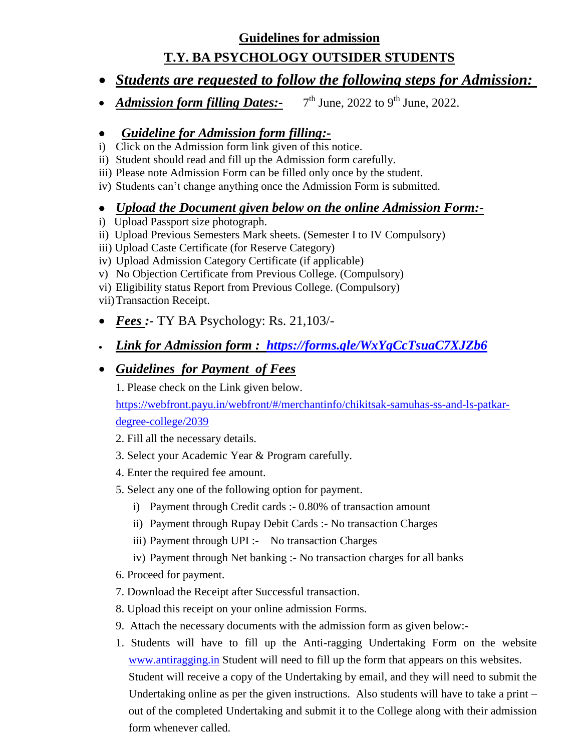#### **Guidelines for admission**

# **T.Y. BA PSYCHOLOGY OUTSIDER STUDENTS**

- *Students are requested to follow the following steps for Admission:*
- *Admission form filling Dates:-*7  $7<sup>th</sup>$  June, 2022 to 9<sup>th</sup> June, 2022.

## *Guideline for Admission form filling:-*

- i) Click on the Admission form link given of this notice.
- ii) Student should read and fill up the Admission form carefully.
- iii) Please note Admission Form can be filled only once by the student.
- iv) Students can't change anything once the Admission Form is submitted.

#### *Upload the Document given below on the online Admission Form:-*

- i) Upload Passport size photograph.
- ii) Upload Previous Semesters Mark sheets. (Semester I to IV Compulsory)
- iii) Upload Caste Certificate (for Reserve Category)
- iv) Upload Admission Category Certificate (if applicable)
- v) No Objection Certificate from Previous College. (Compulsory)
- vi) Eligibility status Report from Previous College. (Compulsory)

vii)Transaction Receipt.

- *Fees :-* TY BA Psychology: Rs. 21,103/-
- *Link for Admission form : <https://forms.gle/WxYqCcTsuaC7XJZb6>*

## *Guidelines for Payment of Fees*

1. Please check on the Link given below.

[https://webfront.payu.in/webfront/#/merchantinfo/chikitsak-samuhas-ss-and-ls-patkar](https://webfront.payu.in/webfront/#/merchantinfo/chikitsak-samuhas-ss-and-ls-patkar-degree-college/2039)[degree-college/2039](https://webfront.payu.in/webfront/#/merchantinfo/chikitsak-samuhas-ss-and-ls-patkar-degree-college/2039)

- 2. Fill all the necessary details.
- 3. Select your Academic Year & Program carefully.
- 4. Enter the required fee amount.
- 5. Select any one of the following option for payment.
	- i) Payment through Credit cards :- 0.80% of transaction amount
	- ii) Payment through Rupay Debit Cards :- No transaction Charges
	- iii) Payment through UPI :- No transaction Charges
	- iv) Payment through Net banking :- No transaction charges for all banks
- 6. Proceed for payment.
- 7. Download the Receipt after Successful transaction.
- 8. Upload this receipt on your online admission Forms.
- 9. Attach the necessary documents with the admission form as given below:-
- 1. Students will have to fill up the Anti-ragging Undertaking Form on the website [www.antiragging.in](http://www.antiragging.in/) Student will need to fill up the form that appears on this websites. Student will receive a copy of the Undertaking by email, and they will need to submit the Undertaking online as per the given instructions. Also students will have to take a print – out of the completed Undertaking and submit it to the College along with their admission form whenever called.